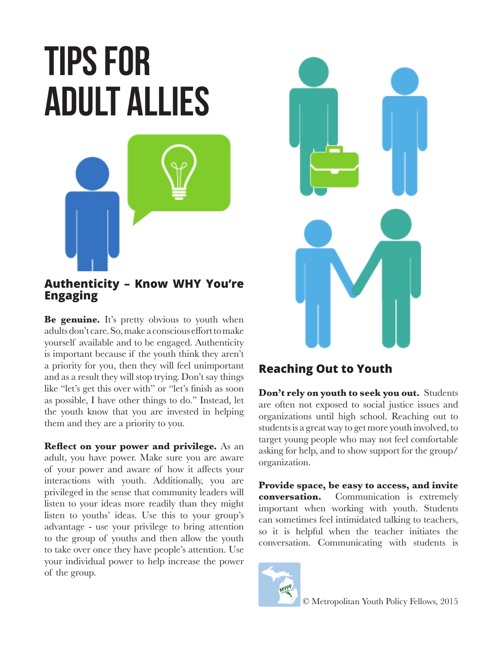## **Tips for adult allies**



## **Authenticity – Know WHY You're Engaging**

**Be genuine.** It's pretty obvious to youth when adults don't care. So, make a conscious effort to make yourself available and to be engaged. Authenticity is important because if the youth think they aren't a priority for you, then they will feel unimportant and as a result they will stop trying. Don't say things like "let's get this over with" or "let's finish as soon as possible, I have other things to do." Instead, let the youth know that you are invested in helping them and they are a priority to you.

**Reflect on your power and privilege.** As an adult, you have power. Make sure you are aware of your power and aware of how it affects your interactions with youth. Additionally, you are privileged in the sense that community leaders will listen to your ideas more readily than they might listen to youths' ideas. Use this to your group's advantage - use your privilege to bring attention to the group of youths and then allow the youth to take over once they have people's attention. Use your individual power to help increase the power of the group.



## **Reaching Out to Youth**

**Don't rely on youth to seek you out.** Students are often not exposed to social justice issues and organizations until high school. Reaching out to students is a great way to get more youth involved, to target young people who may not feel comfortable asking for help, and to show support for the group/ organization.

**Provide space, be easy to access, and invite conversation.** Communication is extremely important when working with youth. Students can sometimes feel intimidated talking to teachers, so it is helpful when the teacher initiates the conversation. Communicating with students is